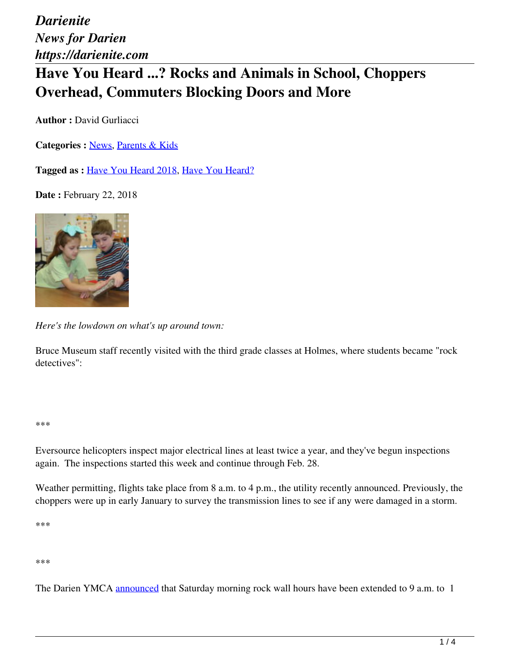# **Have You Heard ...? Rocks and Animals in School, Choppers Overhead, Commuters Blocking Doors and More**

**Author :** David Gurliacci

**Categories :** [News](https://darienite.com/category/news), Parents & Kids

**Tagged as :** Have You Heard 2018, Have You Heard?

**Date : February 22, 2018** 



*Here's the lowdown on what's up around town:*

Bruce Museum staff recently visited with the third grade classes at Holmes, where students became "rock detectives":

#### \*\*\*

Eversource helicopters inspect major electrical lines at least twice a year, and they've begun inspections again. The inspections started this week and continue through Feb. 28.

Weather permitting, flights take place from 8 a.m. to 4 p.m., the utility recently announced. Previously, the choppers were up in early January to survey the transmission lines to see if any were damaged in a storm.

\*\*\*

#### \*\*\*

The Darien YMCA announced that Saturday morning rock wall hours have been extended to 9 a.m. to 1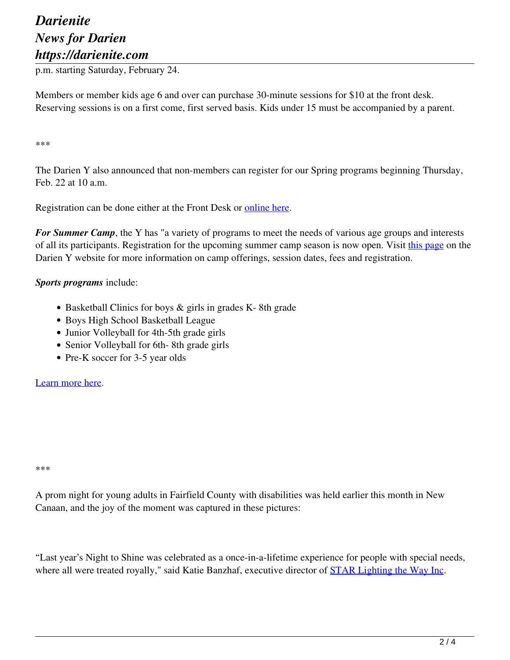p.m. starting Saturday, February 24.

Members or member kids age 6 and over can purchase 30-minute sessions for \$10 at the front desk. Reserving sessions is on a first come, first served basis. Kids under 15 must be accompanied by a parent.

\*\*\*

The Darien Y also announced that non-members can register for our Spring programs beginning Thursday, Feb. 22 at 10 a.m.

Registration can be done either at the Front Desk or online here.

*For Summer Camp*, the Y has "a variety of programs to meet the needs of various age groups and interests of all its participants. Registration for the upcoming summer camp season is now open. Visit this page on the Darien Y website for more information on camp offerings, session dates, fees and registration.

#### *Sports programs* include:

- Basketball Clinics for boys & girls in grades K-8th grade
- Boys High School Basketball League
- Junior Volleyball for 4th-5th grade girls
- Senior Volleyball for 6th-8th grade girls
- Pre-K soccer for 3-5 year olds

Learn more here.

\*\*\*

A prom night for young adults in Fairfield County with disabilities was held earlier this month in New Canaan, and the joy of the moment was captured in these pictures:

"Last year's Night to Shine was celebrated as a once-in-a-lifetime experience for people with special needs, where all were treated royally," said Katie Banzhaf, executive director of **STAR** Lighting the Way Inc.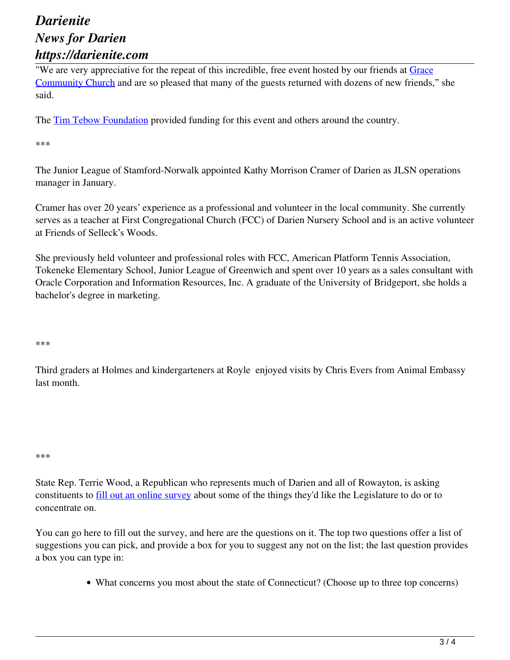"We are very appreciative for the repeat of this incredible, free event hosted by our friends at Grace Community Church and are so pleased that many of the guests returned with dozens of new friends," she said.

The Tim Tebow Foundation provided funding for this event and others around the country.

\*\*\*

The Junior League of Stamford-Norwalk appointed Kathy Morrison Cramer of Darien as JLSN operations manager in January.

Cramer has over 20 years' experience as a professional and volunteer in the local community. She currently serves as a teacher at First Congregational Church (FCC) of Darien Nursery School and is an active volunteer at Friends of Selleck's Woods.

She previously held volunteer and professional roles with FCC, American Platform Tennis Association, Tokeneke Elementary School, Junior League of Greenwich and spent over 10 years as a sales consultant with Oracle Corporation and Information Resources, Inc. A graduate of the University of Bridgeport, she holds a bachelor's degree in marketing.

\*\*\*

Third graders at Holmes and kindergarteners at Royle enjoyed visits by Chris Evers from Animal Embassy last month.

\*\*\*

State Rep. Terrie Wood, a Republican who represents much of Darien and all of Rowayton, is asking constituents to <u>fill out an online survey</u> about some of the things they'd like the Legislature to do or to concentrate on.

You can go here to fill out the survey, and here are the questions on it. The top two questions offer a list of suggestions you can pick, and provide a box for you to suggest any not on the list; the last question provides a box you can type in:

What concerns you most about the state of Connecticut? (Choose up to three top concerns)